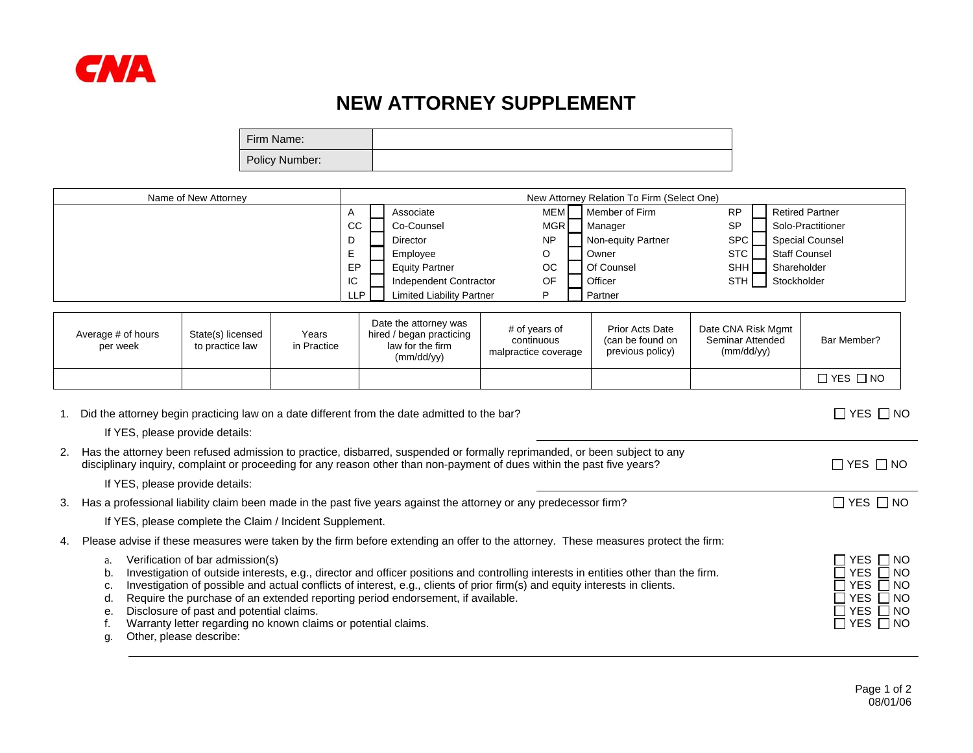

## **NEW ATTORNEY SUPPLEMENT**

| Firm Name:     |  |
|----------------|--|
| Policy Number: |  |

| Name of New Attorney | New Attorney Relation To Firm (Select One) |  |                                  |  |            |                    |            |                        |
|----------------------|--------------------------------------------|--|----------------------------------|--|------------|--------------------|------------|------------------------|
|                      | $\mathsf{A}$                               |  | Associate                        |  | MEM.       | Member of Firm     | <b>RP</b>  | <b>Retired Partner</b> |
|                      | CC                                         |  | Co-Counsel                       |  | <b>MGR</b> | Manager            | <b>SP</b>  | Solo-Practitioner      |
|                      | L                                          |  | <b>Director</b>                  |  | <b>NP</b>  | Non-equity Partner | SPC        | <b>Special Counsel</b> |
|                      | ⊢<br>ட                                     |  | Employee                         |  | O          | Owner              | STC I      | <b>Staff Counsel</b>   |
|                      | EP                                         |  | <b>Equity Partner</b>            |  | <b>OC</b>  | Of Counsel         | <b>SHH</b> | Shareholder            |
|                      | IС                                         |  | Independent Contractor           |  | OF         | Officer            | STH I      | Stockholder            |
|                      | LLP.                                       |  | <b>Limited Liability Partner</b> |  | D          | Partner            |            |                        |

| Average # of hours<br>per week | State(s) licensed<br>to practice law | Years<br>in Practice | Date the attorney was<br>hired / began practicing<br>law for the firm<br>(mm/dd/yy) | # of years of<br>continuous<br>malpractice coverage | <b>Prior Acts Date</b><br>(can be found on<br>previous policy) | Date CNA Risk Mgmt<br>Seminar Attended<br>(mm/dd/yy) | Bar Member?          |
|--------------------------------|--------------------------------------|----------------------|-------------------------------------------------------------------------------------|-----------------------------------------------------|----------------------------------------------------------------|------------------------------------------------------|----------------------|
|                                |                                      |                      |                                                                                     |                                                     |                                                                |                                                      | $\Box$ YES $\Box$ NO |

|    | Did the attorney begin practicing law on a date different from the date admitted to the bar?                                                                                                                                                                                                                                                                                                                                                                                                                                                                           | $\Box$ YES $\Box$ NO                                                                                           |
|----|------------------------------------------------------------------------------------------------------------------------------------------------------------------------------------------------------------------------------------------------------------------------------------------------------------------------------------------------------------------------------------------------------------------------------------------------------------------------------------------------------------------------------------------------------------------------|----------------------------------------------------------------------------------------------------------------|
|    | If YES, please provide details:                                                                                                                                                                                                                                                                                                                                                                                                                                                                                                                                        |                                                                                                                |
|    | 2. Has the attorney been refused admission to practice, disbarred, suspended or formally reprimanded, or been subject to any<br>disciplinary inquiry, complaint or proceeding for any reason other than non-payment of dues within the past five years?                                                                                                                                                                                                                                                                                                                | $\Box$ Yes $\Box$ No                                                                                           |
|    | If YES, please provide details:                                                                                                                                                                                                                                                                                                                                                                                                                                                                                                                                        |                                                                                                                |
| 3. | Has a professional liability claim been made in the past five years against the attorney or any predecessor firm?                                                                                                                                                                                                                                                                                                                                                                                                                                                      | $\Box$ Yes $\Box$ No                                                                                           |
|    | If YES, please complete the Claim / Incident Supplement.                                                                                                                                                                                                                                                                                                                                                                                                                                                                                                               |                                                                                                                |
| 4. | Please advise if these measures were taken by the firm before extending an offer to the attorney. These measures protect the firm:                                                                                                                                                                                                                                                                                                                                                                                                                                     |                                                                                                                |
|    | Verification of bar admission(s)<br>a.<br>Investigation of outside interests, e.g., director and officer positions and controlling interests in entities other than the firm.<br>b.<br>Investigation of possible and actual conflicts of interest, e.g., clients of prior firm(s) and equity interests in clients.<br>c.<br>Require the purchase of an extended reporting period endorsement, if available.<br>d.<br>Disclosure of past and potential claims.<br>е.<br>Warranty letter regarding no known claims or potential claims.<br>Other, please describe:<br>g. | I YES Π NO<br>$YES \Box NO$<br>YES $\Box$ NO<br>YES $\Box$ NO<br>$\vert$ YES $\Box$ NO<br>$\Box$ YES $\Box$ NO |